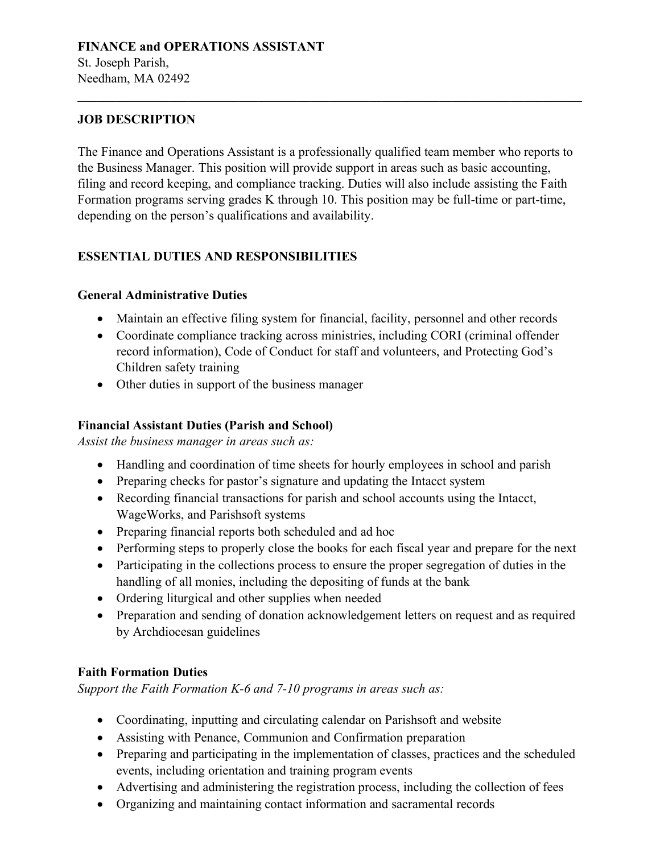# **FINANCE and OPERATIONS ASSISTANT**

St. Joseph Parish, Needham, MA 02492

### **JOB DESCRIPTION**

The Finance and Operations Assistant is a professionally qualified team member who reports to the Business Manager. This position will provide support in areas such as basic accounting, filing and record keeping, and compliance tracking. Duties will also include assisting the Faith Formation programs serving grades K through 10. This position may be full-time or part-time, depending on the person's qualifications and availability.

### **ESSENTIAL DUTIES AND RESPONSIBILITIES**

#### **General Administrative Duties**

- Maintain an effective filing system for financial, facility, personnel and other records
- Coordinate compliance tracking across ministries, including CORI (criminal offender record information), Code of Conduct for staff and volunteers, and Protecting God's Children safety training
- Other duties in support of the business manager

#### **Financial Assistant Duties (Parish and School)**

*Assist the business manager in areas such as:* 

- Handling and coordination of time sheets for hourly employees in school and parish
- Preparing checks for pastor's signature and updating the Intacct system
- Recording financial transactions for parish and school accounts using the Intacct, WageWorks, and Parishsoft systems
- Preparing financial reports both scheduled and ad hoc
- Performing steps to properly close the books for each fiscal year and prepare for the next
- Participating in the collections process to ensure the proper segregation of duties in the handling of all monies, including the depositing of funds at the bank
- Ordering liturgical and other supplies when needed
- Preparation and sending of donation acknowledgement letters on request and as required by Archdiocesan guidelines

# **Faith Formation Duties**

*Support the Faith Formation K-6 and 7-10 programs in areas such as:* 

- Coordinating, inputting and circulating calendar on Parishsoft and website
- Assisting with Penance, Communion and Confirmation preparation
- Preparing and participating in the implementation of classes, practices and the scheduled events, including orientation and training program events
- Advertising and administering the registration process, including the collection of fees
- Organizing and maintaining contact information and sacramental records